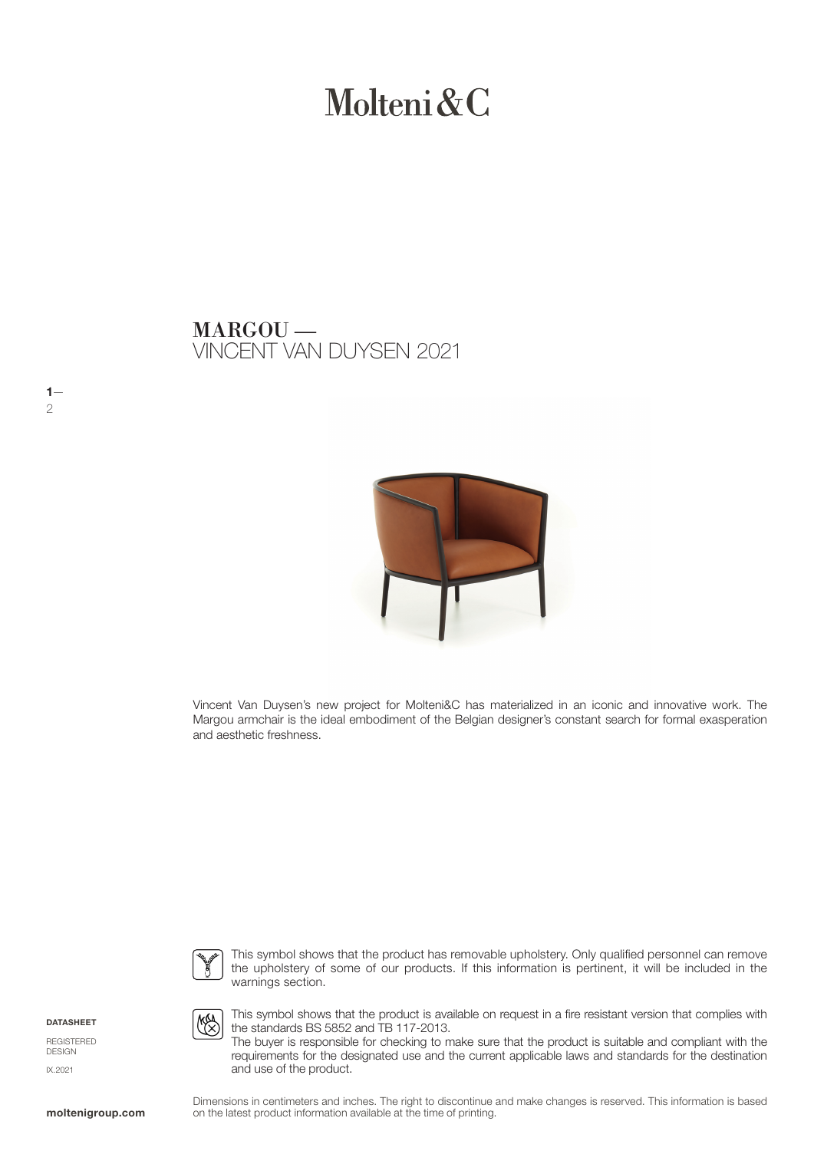# Molteni & C

VINCENT VAN DUYSEN 2021 MARGOU —



Vincent Van Duysen's new project for Molteni&C has materialized in an iconic and innovative work. The Margou armchair is the ideal embodiment of the Belgian designer's constant search for formal exasperation and aesthetic freshness.



This symbol shows that the product has removable upholstery. Only qualified personnel can remove the upholstery of some of our products. If this information is pertinent, it will be included in the warnings section.

DATASHEET

 $1-$ 2

REGISTERED DESIGN IX.2021



This symbol shows that the product is available on request in a fire resistant version that complies with the standards BS 5852 and TB 117-2013.

The buyer is responsible for checking to make sure that the product is suitable and compliant with the requirements for the designated use and the current applicable laws and standards for the destination and use of the product.

Dimensions in centimeters and inches. The right to discontinue and make changes is reserved. This information is based on the latest product information available at the time of printing.